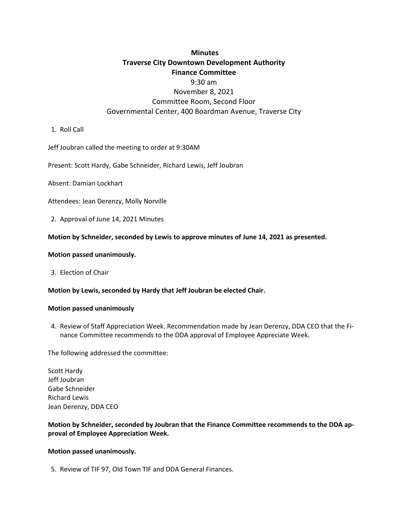# **Minutes Traverse City Downtown Development Authority Finance Committee**

## 9:30 am November 8, 2021 Committee Room, Second Floor Governmental Center, 400 Boardman Avenue, Traverse City

1. Roll Call

Jeff Joubran called the meeting to order at 9:30AM

Present: Scott Hardy, Gabe Schneider, Richard Lewis, Jeff Joubran

Absent: Damian Lockhart

Attendees: Jean Derenzy, Molly Norville

2. Approval of June 14, 2021 Minutes

#### **Motion by Schneider, seconded by Lewis to approve minutes of June 14, 2021 as presented.**

#### **Motion passed unanimously.**

3. Election of Chair

#### **Motion by Lewis, seconded by Hardy that Jeff Joubran be elected Chair.**

#### **Motion passed unanimously**

4. Review of Staff Appreciation Week. Recommendation made by Jean Derenzy, DDA CEO that the Finance Committee recommends to the DDA approval of Employee Appreciate Week.

The following addressed the committee:

Scott Hardy Jeff Joubran Gabe Schneider Richard Lewis Jean Derenzy, DDA CEO

### **Motion by Schneider, seconded by Joubran that the Finance Committee recommends to the DDA approval of Employee Appreciation Week.**

#### **Motion passed unanimously.**

5. Review of TIF 97, Old Town TIF and DDA General Finances.